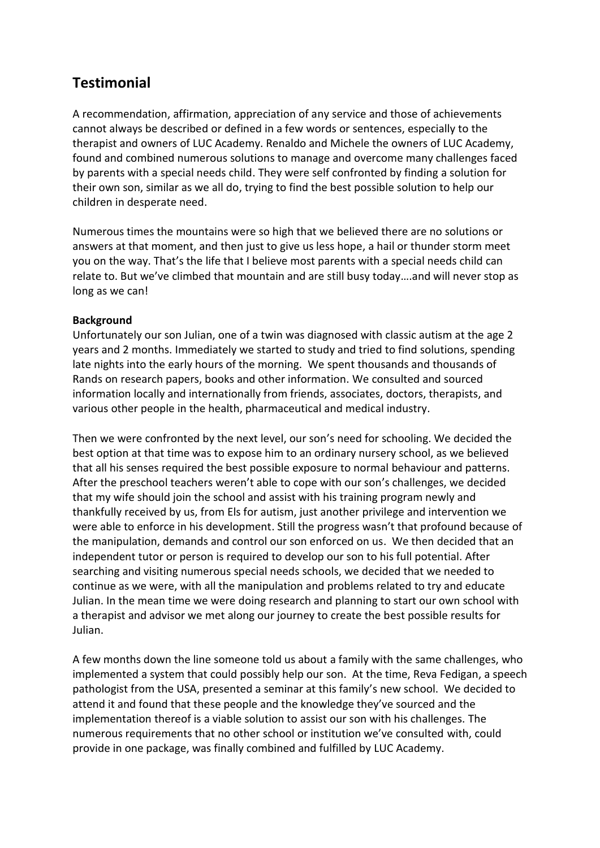## **Testimonial**

A recommendation, affirmation, appreciation of any service and those of achievements cannot always be described or defined in a few words or sentences, especially to the therapist and owners of LUC Academy. Renaldo and Michele the owners of LUC Academy, found and combined numerous solutions to manage and overcome many challenges faced by parents with a special needs child. They were self confronted by finding a solution for their own son, similar as we all do, trying to find the best possible solution to help our children in desperate need.

Numerous times the mountains were so high that we believed there are no solutions or answers at that moment, and then just to give us less hope, a hail or thunder storm meet you on the way. That's the life that I believe most parents with a special needs child can relate to. But we've climbed that mountain and are still busy today….and will never stop as long as we can!

## **Background**

Unfortunately our son Julian, one of a twin was diagnosed with classic autism at the age 2 years and 2 months. Immediately we started to study and tried to find solutions, spending late nights into the early hours of the morning. We spent thousands and thousands of Rands on research papers, books and other information. We consulted and sourced information locally and internationally from friends, associates, doctors, therapists, and various other people in the health, pharmaceutical and medical industry.

Then we were confronted by the next level, our son's need for schooling. We decided the best option at that time was to expose him to an ordinary nursery school, as we believed that all his senses required the best possible exposure to normal behaviour and patterns. After the preschool teachers weren't able to cope with our son's challenges, we decided that my wife should join the school and assist with his training program newly and thankfully received by us, from Els for autism, just another privilege and intervention we were able to enforce in his development. Still the progress wasn't that profound because of the manipulation, demands and control our son enforced on us. We then decided that an independent tutor or person is required to develop our son to his full potential. After searching and visiting numerous special needs schools, we decided that we needed to continue as we were, with all the manipulation and problems related to try and educate Julian. In the mean time we were doing research and planning to start our own school with a therapist and advisor we met along our journey to create the best possible results for Julian.

A few months down the line someone told us about a family with the same challenges, who implemented a system that could possibly help our son. At the time, Reva Fedigan, a speech pathologist from the USA, presented a seminar at this family's new school. We decided to attend it and found that these people and the knowledge they've sourced and the implementation thereof is a viable solution to assist our son with his challenges. The numerous requirements that no other school or institution we've consulted with, could provide in one package, was finally combined and fulfilled by LUC Academy.